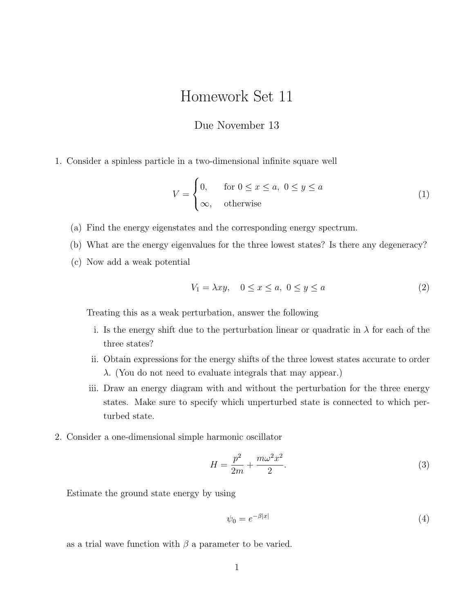## Homework Set 11

## Due November 13

1. Consider a spinless particle in a two-dimensional infinite square well

$$
V = \begin{cases} 0, & \text{for } 0 \le x \le a, \ 0 \le y \le a \\ \infty, & \text{otherwise} \end{cases} \tag{1}
$$

- (a) Find the energy eigenstates and the corresponding energy spectrum.
- (b) What are the energy eigenvalues for the three lowest states? Is there any degeneracy?
- (c) Now add a weak potential

$$
V_1 = \lambda xy, \quad 0 \le x \le a, \ 0 \le y \le a \tag{2}
$$

Treating this as a weak perturbation, answer the following

- i. Is the energy shift due to the perturbation linear or quadratic in  $\lambda$  for each of the three states?
- ii. Obtain expressions for the energy shifts of the three lowest states accurate to order  $\lambda$ . (You do not need to evaluate integrals that may appear.)
- iii. Draw an energy diagram with and without the perturbation for the three energy states. Make sure to specify which unperturbed state is connected to which perturbed state.
- 2. Consider a one-dimensional simple harmonic oscillator

$$
H = \frac{p^2}{2m} + \frac{m\omega^2 x^2}{2}.
$$
 (3)

Estimate the ground state energy by using

$$
\psi_0 = e^{-\beta|x|} \tag{4}
$$

as a trial wave function with  $\beta$  a parameter to be varied.